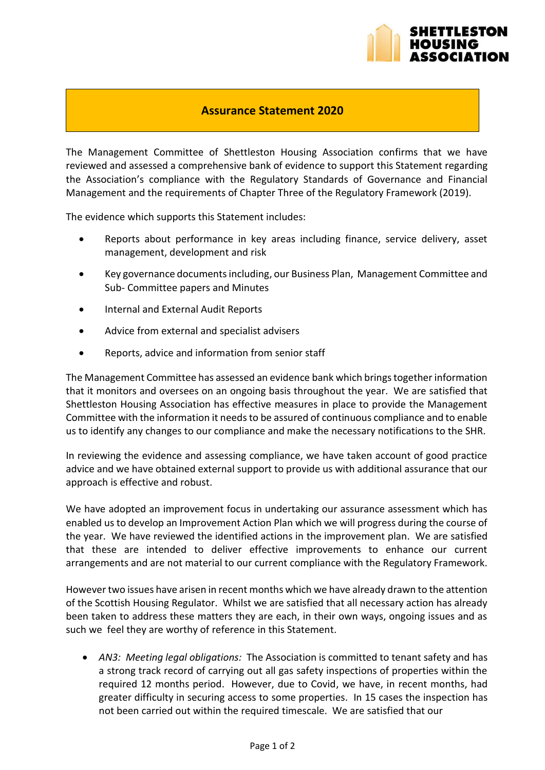

## **Assurance Statement 2020**

The Management Committee of Shettleston Housing Association confirms that we have reviewed and assessed a comprehensive bank of evidence to support this Statement regarding the Association's compliance with the Regulatory Standards of Governance and Financial Management and the requirements of Chapter Three of the Regulatory Framework (2019).

The evidence which supports this Statement includes:

- Reports about performance in key areas including finance, service delivery, asset management, development and risk
- Key governance documents including, our Business Plan, Management Committee and Sub- Committee papers and Minutes
- **•** Internal and External Audit Reports
- Advice from external and specialist advisers
- Reports, advice and information from senior staff

The Management Committee has assessed an evidence bank which brings together information that it monitors and oversees on an ongoing basis throughout the year. We are satisfied that Shettleston Housing Association has effective measures in place to provide the Management Committee with the information it needs to be assured of continuous compliance and to enable us to identify any changes to our compliance and make the necessary notifications to the SHR.

In reviewing the evidence and assessing compliance, we have taken account of good practice advice and we have obtained external support to provide us with additional assurance that our approach is effective and robust.

We have adopted an improvement focus in undertaking our assurance assessment which has enabled us to develop an Improvement Action Plan which we will progress during the course of the year. We have reviewed the identified actions in the improvement plan. We are satisfied that these are intended to deliver effective improvements to enhance our current arrangements and are not material to our current compliance with the Regulatory Framework.

However two issues have arisen in recent months which we have already drawn to the attention of the Scottish Housing Regulator. Whilst we are satisfied that all necessary action has already been taken to address these matters they are each, in their own ways, ongoing issues and as such we feel they are worthy of reference in this Statement.

 *AN3: Meeting legal obligations:* The Association is committed to tenant safety and has a strong track record of carrying out all gas safety inspections of properties within the required 12 months period. However, due to Covid, we have, in recent months, had greater difficulty in securing access to some properties. In 15 cases the inspection has not been carried out within the required timescale. We are satisfied that our